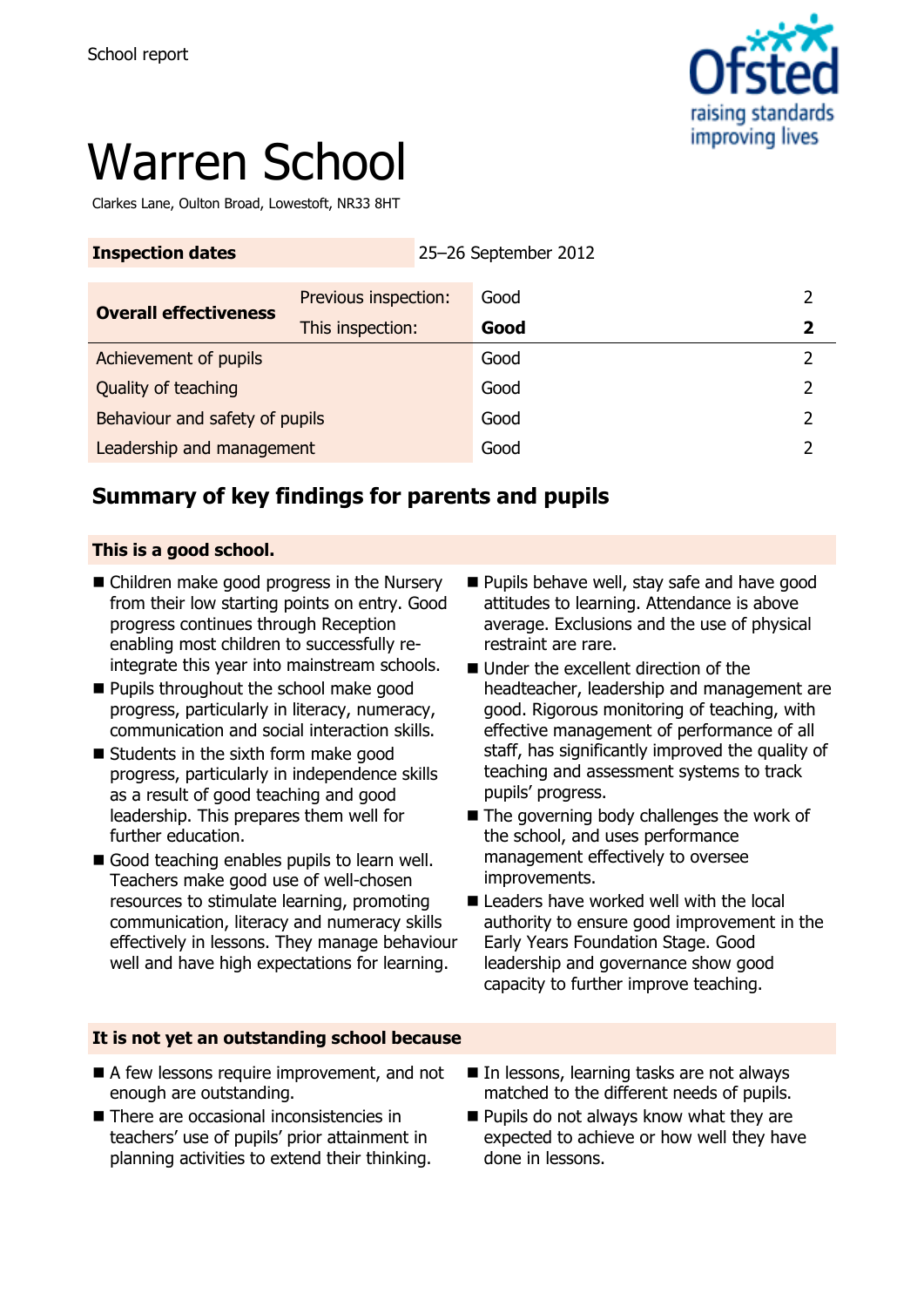

# Warren School

Clarkes Lane, Oulton Broad, Lowestoft, NR33 8HT

| <b>Inspection dates</b>        | 25-26 September 2012 |      |   |
|--------------------------------|----------------------|------|---|
| <b>Overall effectiveness</b>   | Previous inspection: | Good |   |
|                                | This inspection:     | Good | 2 |
| Achievement of pupils          |                      | Good |   |
| Quality of teaching            |                      | Good |   |
| Behaviour and safety of pupils |                      | Good | 2 |
| Leadership and management      |                      | Good |   |

# **Summary of key findings for parents and pupils**

#### **This is a good school.**

- Children make good progress in the Nursery from their low starting points on entry. Good progress continues through Reception enabling most children to successfully reintegrate this year into mainstream schools.
- **Pupils throughout the school make good** progress, particularly in literacy, numeracy, communication and social interaction skills.
- Students in the sixth form make good progress, particularly in independence skills as a result of good teaching and good leadership. This prepares them well for further education.
- Good teaching enables pupils to learn well. Teachers make good use of well-chosen resources to stimulate learning, promoting communication, literacy and numeracy skills effectively in lessons. They manage behaviour well and have high expectations for learning.
- **Pupils behave well, stay safe and have good** attitudes to learning. Attendance is above average. Exclusions and the use of physical restraint are rare.
- Under the excellent direction of the headteacher, leadership and management are good. Rigorous monitoring of teaching, with effective management of performance of all staff, has significantly improved the quality of teaching and assessment systems to track pupils' progress.
- $\blacksquare$  The governing body challenges the work of the school, and uses performance management effectively to oversee improvements.
- Leaders have worked well with the local authority to ensure good improvement in the Early Years Foundation Stage. Good leadership and governance show good capacity to further improve teaching.

#### **It is not yet an outstanding school because**

- A few lessons require improvement, and not enough are outstanding.
- There are occasional inconsistencies in teachers' use of pupils' prior attainment in planning activities to extend their thinking.
- In lessons, learning tasks are not always matched to the different needs of pupils.
- **Pupils do not always know what they are** expected to achieve or how well they have done in lessons.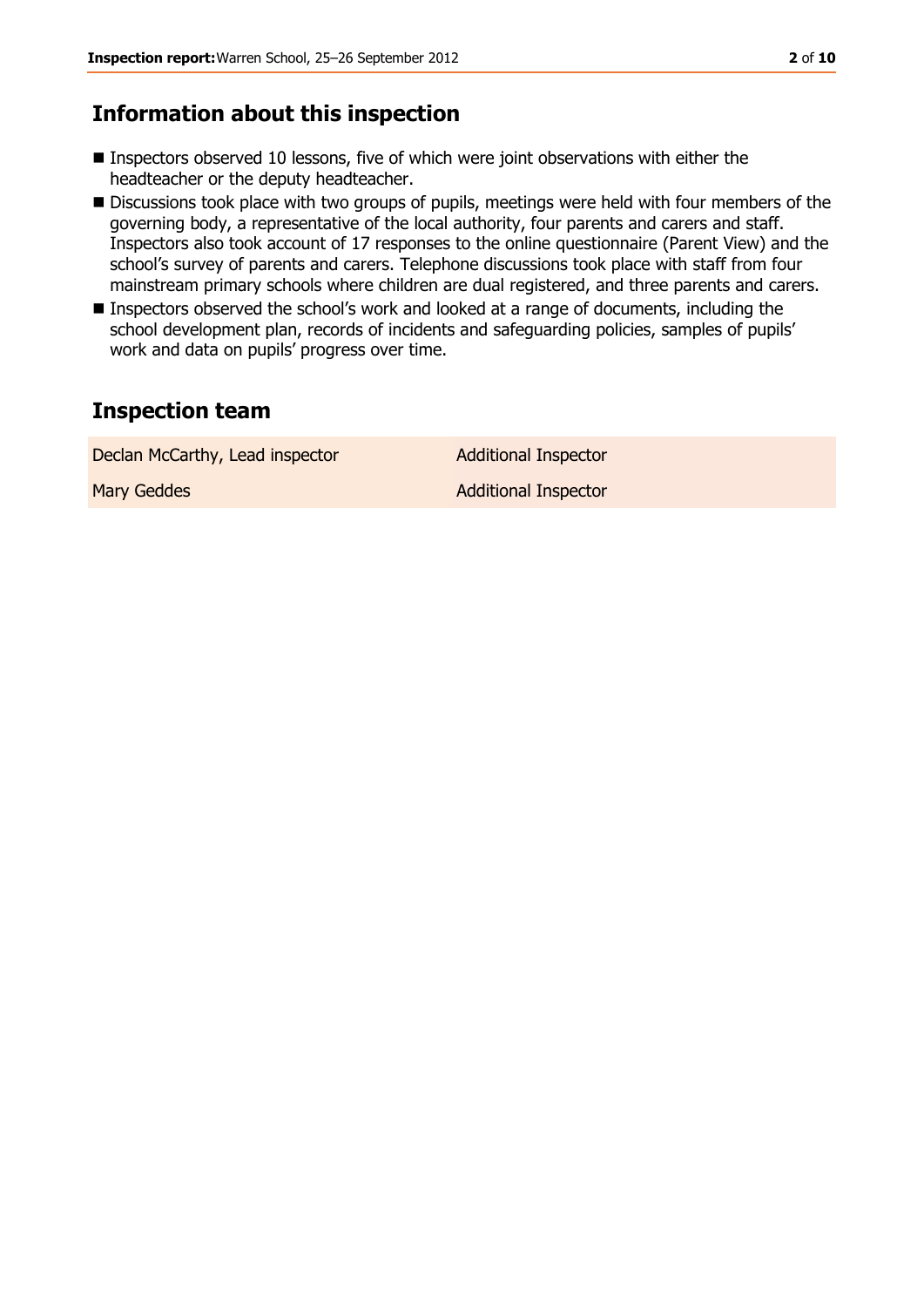### **Information about this inspection**

- Inspectors observed 10 lessons, five of which were joint observations with either the headteacher or the deputy headteacher.
- Discussions took place with two groups of pupils, meetings were held with four members of the governing body, a representative of the local authority, four parents and carers and staff. Inspectors also took account of 17 responses to the online questionnaire (Parent View) and the school's survey of parents and carers. Telephone discussions took place with staff from four mainstream primary schools where children are dual registered, and three parents and carers.
- Inspectors observed the school's work and looked at a range of documents, including the school development plan, records of incidents and safeguarding policies, samples of pupils' work and data on pupils' progress over time.

## **Inspection team**

| Declan McCarthy, Lead inspector | <b>Additional Inspector</b> |
|---------------------------------|-----------------------------|
| <b>Mary Geddes</b>              | Additional Inspector        |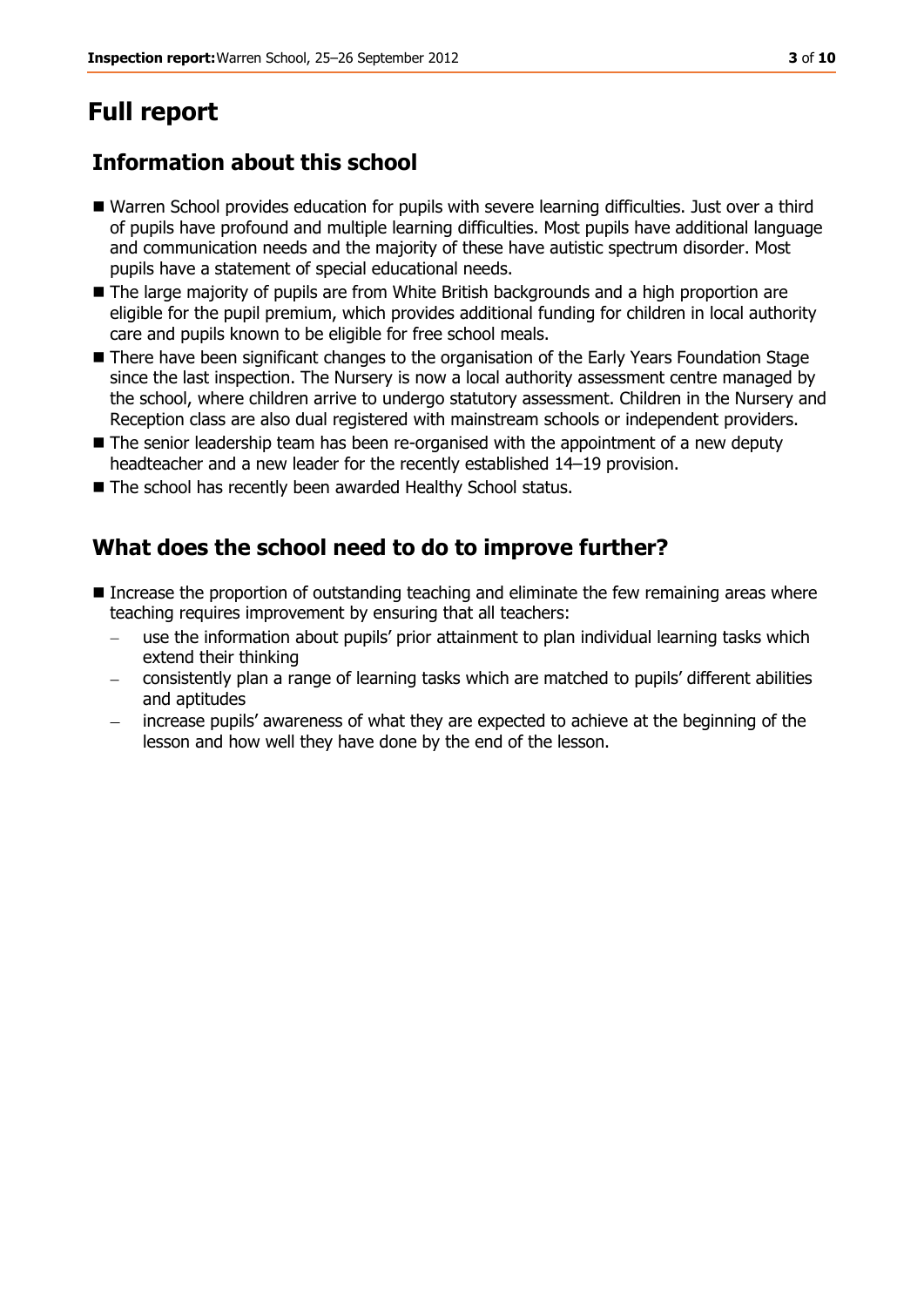# **Full report**

# **Information about this school**

- Warren School provides education for pupils with severe learning difficulties. Just over a third of pupils have profound and multiple learning difficulties. Most pupils have additional language and communication needs and the majority of these have autistic spectrum disorder. Most pupils have a statement of special educational needs.
- The large majority of pupils are from White British backgrounds and a high proportion are eligible for the pupil premium, which provides additional funding for children in local authority care and pupils known to be eligible for free school meals.
- There have been significant changes to the organisation of the Early Years Foundation Stage since the last inspection. The Nursery is now a local authority assessment centre managed by the school, where children arrive to undergo statutory assessment. Children in the Nursery and Reception class are also dual registered with mainstream schools or independent providers.
- The senior leadership team has been re-organised with the appointment of a new deputy headteacher and a new leader for the recently established 14–19 provision.
- The school has recently been awarded Healthy School status.

# **What does the school need to do to improve further?**

- Increase the proportion of outstanding teaching and eliminate the few remaining areas where teaching requires improvement by ensuring that all teachers:
	- use the information about pupils' prior attainment to plan individual learning tasks which extend their thinking
	- consistently plan a range of learning tasks which are matched to pupils' different abilities and aptitudes
	- increase pupils' awareness of what they are expected to achieve at the beginning of the lesson and how well they have done by the end of the lesson.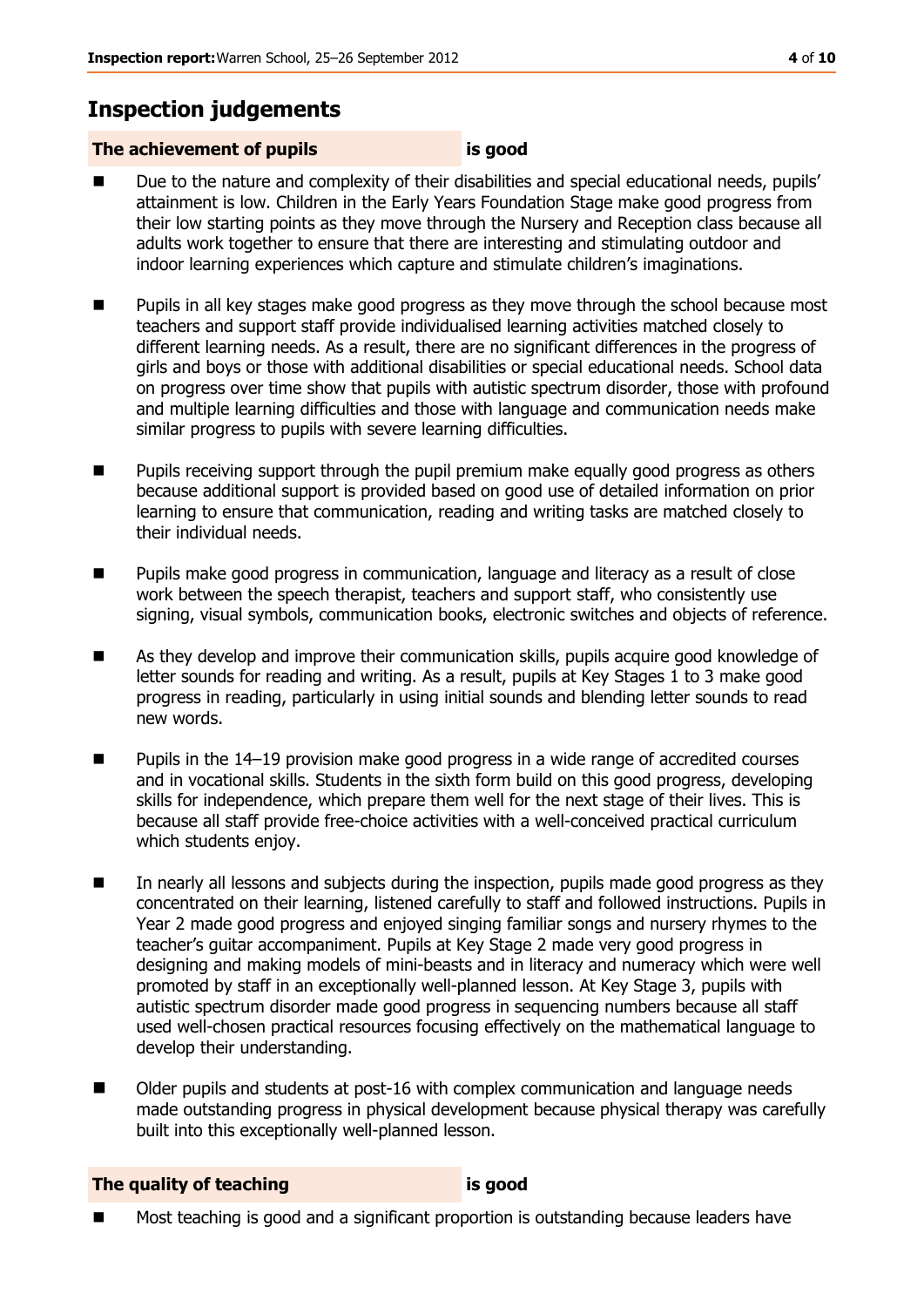# **Inspection judgements**

### **The achievement of pupils is good**

- Due to the nature and complexity of their disabilities and special educational needs, pupils' attainment is low. Children in the Early Years Foundation Stage make good progress from their low starting points as they move through the Nursery and Reception class because all adults work together to ensure that there are interesting and stimulating outdoor and indoor learning experiences which capture and stimulate children's imaginations.
- **Pupils in all key stages make good progress as they move through the school because most** teachers and support staff provide individualised learning activities matched closely to different learning needs. As a result, there are no significant differences in the progress of girls and boys or those with additional disabilities or special educational needs. School data on progress over time show that pupils with autistic spectrum disorder, those with profound and multiple learning difficulties and those with language and communication needs make similar progress to pupils with severe learning difficulties.
- **Pupillack** Pupils receiving support through the pupil premium make equally good progress as others because additional support is provided based on good use of detailed information on prior learning to ensure that communication, reading and writing tasks are matched closely to their individual needs.
- **Pupils make good progress in communication, language and literacy as a result of close** work between the speech therapist, teachers and support staff, who consistently use signing, visual symbols, communication books, electronic switches and objects of reference.
- As they develop and improve their communication skills, pupils acquire good knowledge of letter sounds for reading and writing. As a result, pupils at Key Stages 1 to 3 make good progress in reading, particularly in using initial sounds and blending letter sounds to read new words.
- Pupils in the 14–19 provision make good progress in a wide range of accredited courses and in vocational skills. Students in the sixth form build on this good progress, developing skills for independence, which prepare them well for the next stage of their lives. This is because all staff provide free-choice activities with a well-conceived practical curriculum which students enjoy.
- In nearly all lessons and subjects during the inspection, pupils made good progress as they concentrated on their learning, listened carefully to staff and followed instructions. Pupils in Year 2 made good progress and enjoyed singing familiar songs and nursery rhymes to the teacher's guitar accompaniment. Pupils at Key Stage 2 made very good progress in designing and making models of mini-beasts and in literacy and numeracy which were well promoted by staff in an exceptionally well-planned lesson. At Key Stage 3, pupils with autistic spectrum disorder made good progress in sequencing numbers because all staff used well-chosen practical resources focusing effectively on the mathematical language to develop their understanding.
- Older pupils and students at post-16 with complex communication and language needs made outstanding progress in physical development because physical therapy was carefully built into this exceptionally well-planned lesson.

**The quality of teaching is good**

■ Most teaching is good and a significant proportion is outstanding because leaders have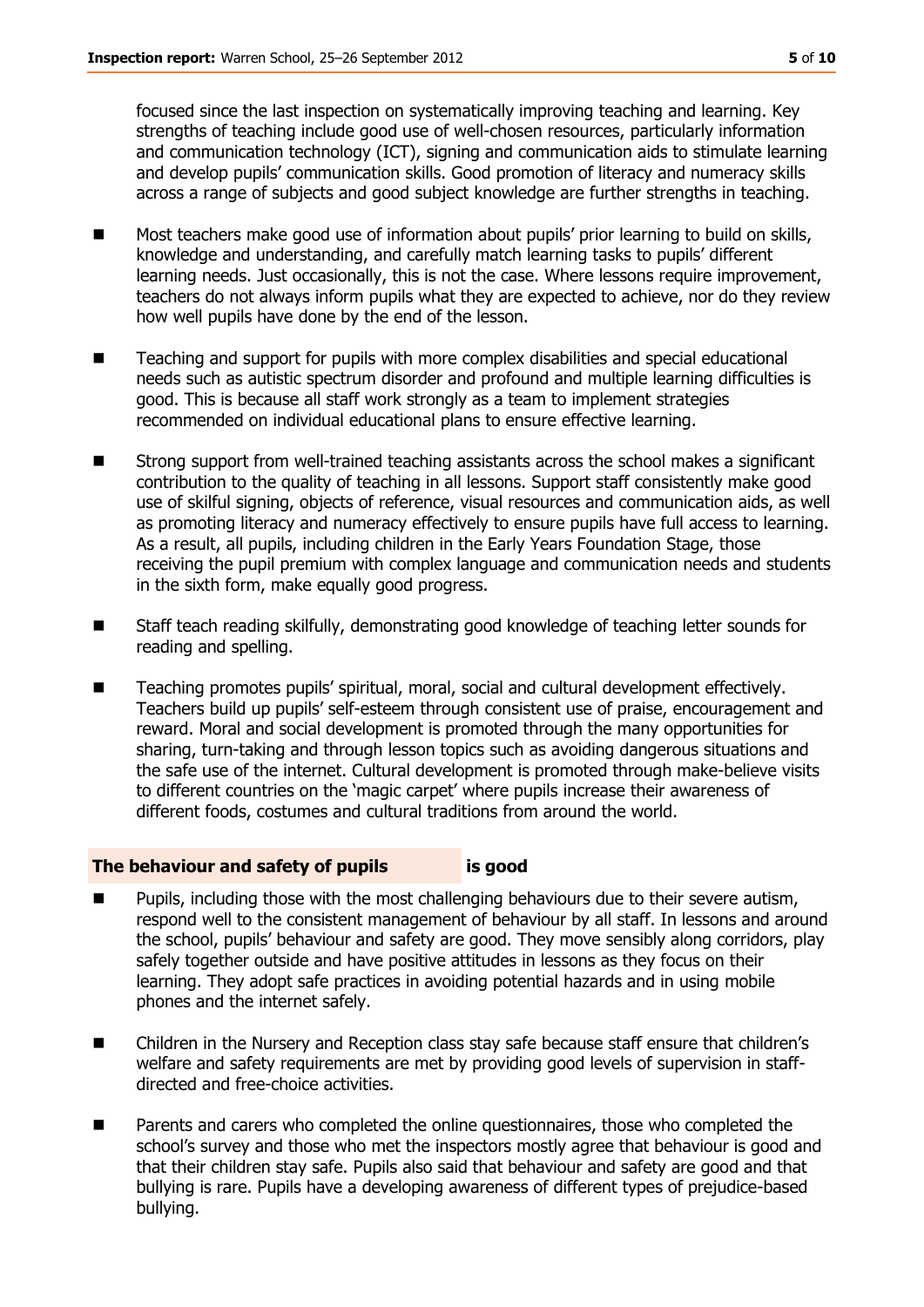focused since the last inspection on systematically improving teaching and learning. Key strengths of teaching include good use of well-chosen resources, particularly information and communication technology (ICT), signing and communication aids to stimulate learning and develop pupils' communication skills. Good promotion of literacy and numeracy skills across a range of subjects and good subject knowledge are further strengths in teaching.

- **Most teachers make good use of information about pupils' prior learning to build on skills,** knowledge and understanding, and carefully match learning tasks to pupils' different learning needs. Just occasionally, this is not the case. Where lessons require improvement, teachers do not always inform pupils what they are expected to achieve, nor do they review how well pupils have done by the end of the lesson.
- Teaching and support for pupils with more complex disabilities and special educational needs such as autistic spectrum disorder and profound and multiple learning difficulties is good. This is because all staff work strongly as a team to implement strategies recommended on individual educational plans to ensure effective learning.
- Strong support from well-trained teaching assistants across the school makes a significant contribution to the quality of teaching in all lessons. Support staff consistently make good use of skilful signing, objects of reference, visual resources and communication aids, as well as promoting literacy and numeracy effectively to ensure pupils have full access to learning. As a result, all pupils, including children in the Early Years Foundation Stage, those receiving the pupil premium with complex language and communication needs and students in the sixth form, make equally good progress.
- Staff teach reading skilfully, demonstrating good knowledge of teaching letter sounds for reading and spelling.
- Teaching promotes pupils' spiritual, moral, social and cultural development effectively. Teachers build up pupils' self-esteem through consistent use of praise, encouragement and reward. Moral and social development is promoted through the many opportunities for sharing, turn-taking and through lesson topics such as avoiding dangerous situations and the safe use of the internet. Cultural development is promoted through make-believe visits to different countries on the 'magic carpet' where pupils increase their awareness of different foods, costumes and cultural traditions from around the world.

#### **The behaviour and safety of pupils is good**

- Pupils, including those with the most challenging behaviours due to their severe autism, respond well to the consistent management of behaviour by all staff. In lessons and around the school, pupils' behaviour and safety are good. They move sensibly along corridors, play safely together outside and have positive attitudes in lessons as they focus on their learning. They adopt safe practices in avoiding potential hazards and in using mobile phones and the internet safely.
- Children in the Nursery and Reception class stay safe because staff ensure that children's welfare and safety requirements are met by providing good levels of supervision in staffdirected and free-choice activities.
- Parents and carers who completed the online questionnaires, those who completed the school's survey and those who met the inspectors mostly agree that behaviour is good and that their children stay safe. Pupils also said that behaviour and safety are good and that bullying is rare. Pupils have a developing awareness of different types of prejudice-based bullying.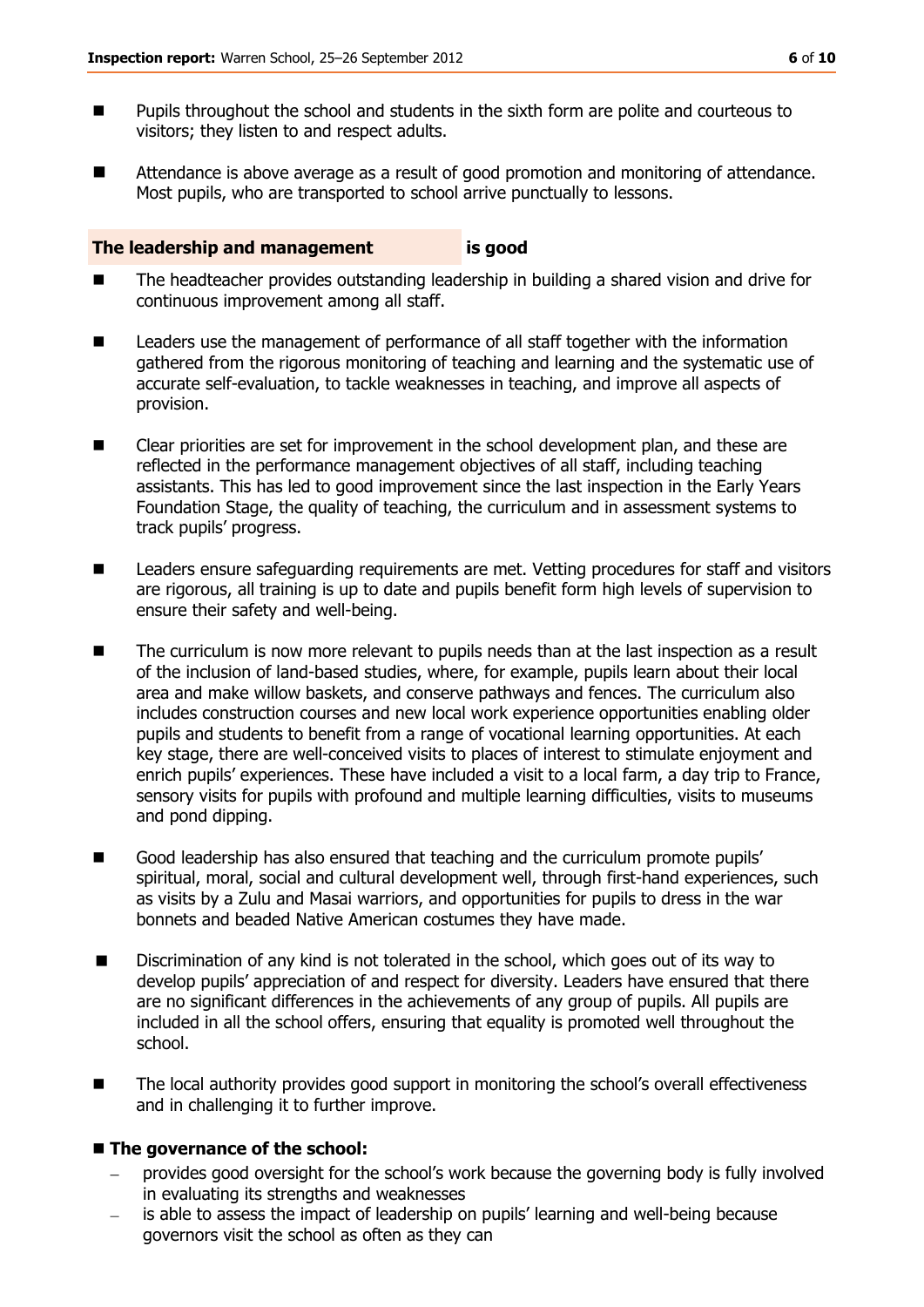- **Pupils throughout the school and students in the sixth form are polite and courteous to** visitors; they listen to and respect adults.
- Attendance is above average as a result of good promotion and monitoring of attendance. Most pupils, who are transported to school arrive punctually to lessons.

#### **The leadership and management is good**

- The headteacher provides outstanding leadership in building a shared vision and drive for continuous improvement among all staff.
- **Leaders use the management of performance of all staff together with the information** gathered from the rigorous monitoring of teaching and learning and the systematic use of accurate self-evaluation, to tackle weaknesses in teaching, and improve all aspects of provision.
- Clear priorities are set for improvement in the school development plan, and these are reflected in the performance management objectives of all staff, including teaching assistants. This has led to good improvement since the last inspection in the Early Years Foundation Stage, the quality of teaching, the curriculum and in assessment systems to track pupils' progress.
- Leaders ensure safeguarding requirements are met. Vetting procedures for staff and visitors are rigorous, all training is up to date and pupils benefit form high levels of supervision to ensure their safety and well-being.
- The curriculum is now more relevant to pupils needs than at the last inspection as a result of the inclusion of land-based studies, where, for example, pupils learn about their local area and make willow baskets, and conserve pathways and fences. The curriculum also includes construction courses and new local work experience opportunities enabling older pupils and students to benefit from a range of vocational learning opportunities. At each key stage, there are well-conceived visits to places of interest to stimulate enjoyment and enrich pupils' experiences. These have included a visit to a local farm, a day trip to France, sensory visits for pupils with profound and multiple learning difficulties, visits to museums and pond dipping.
- Good leadership has also ensured that teaching and the curriculum promote pupils' spiritual, moral, social and cultural development well, through first-hand experiences, such as visits by a Zulu and Masai warriors, and opportunities for pupils to dress in the war bonnets and beaded Native American costumes they have made.
- Discrimination of any kind is not tolerated in the school, which goes out of its way to develop pupils' appreciation of and respect for diversity. Leaders have ensured that there are no significant differences in the achievements of any group of pupils. All pupils are included in all the school offers, ensuring that equality is promoted well throughout the school.
- The local authority provides good support in monitoring the school's overall effectiveness and in challenging it to further improve.

#### ■ The governance of the school:

- provides good oversight for the school's work because the governing body is fully involved in evaluating its strengths and weaknesses
- is able to assess the impact of leadership on pupils' learning and well-being because governors visit the school as often as they can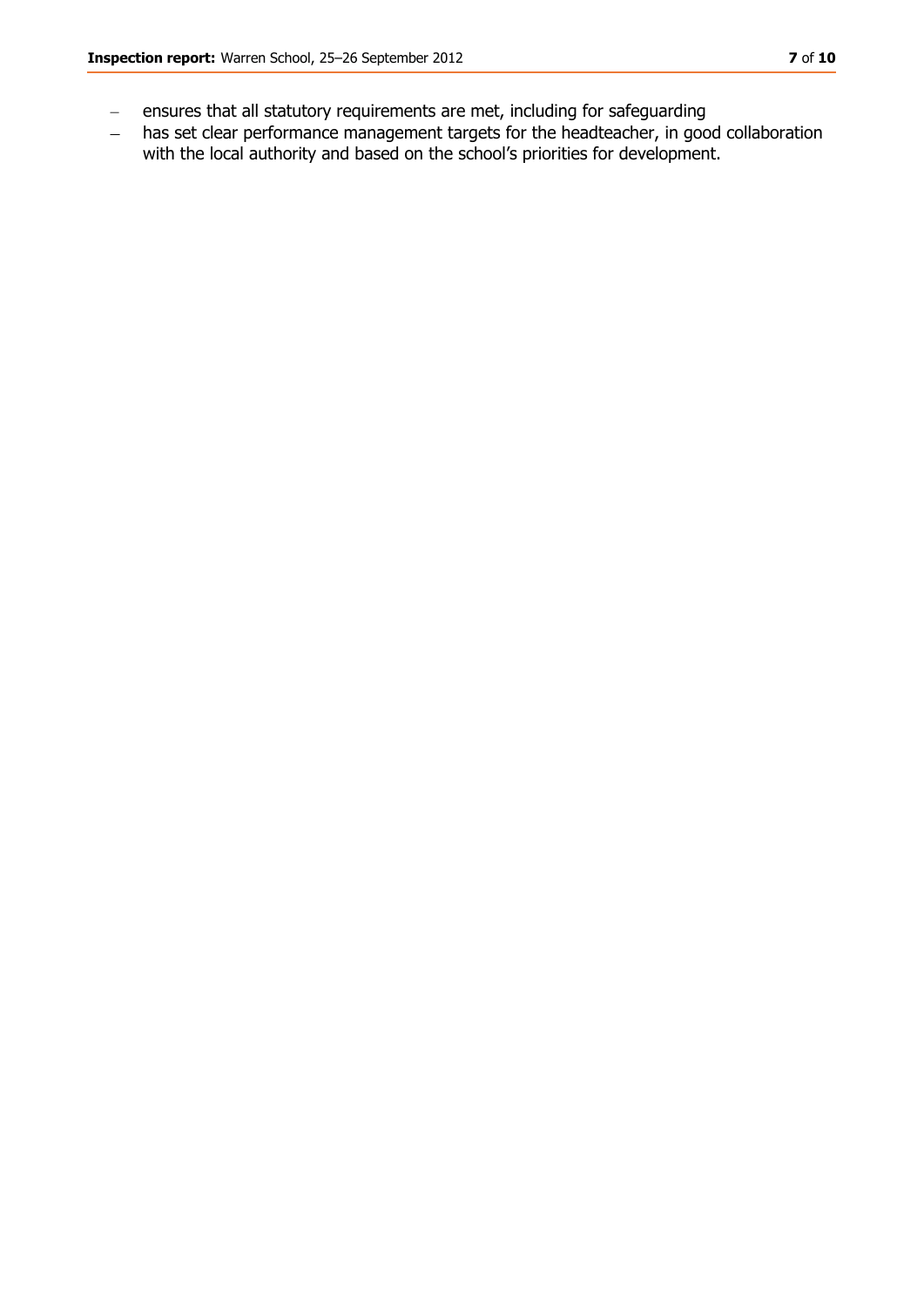- ensures that all statutory requirements are met, including for safeguarding  $\equiv$
- has set clear performance management targets for the headteacher, in good collaboration  $\frac{1}{2}$ with the local authority and based on the school's priorities for development.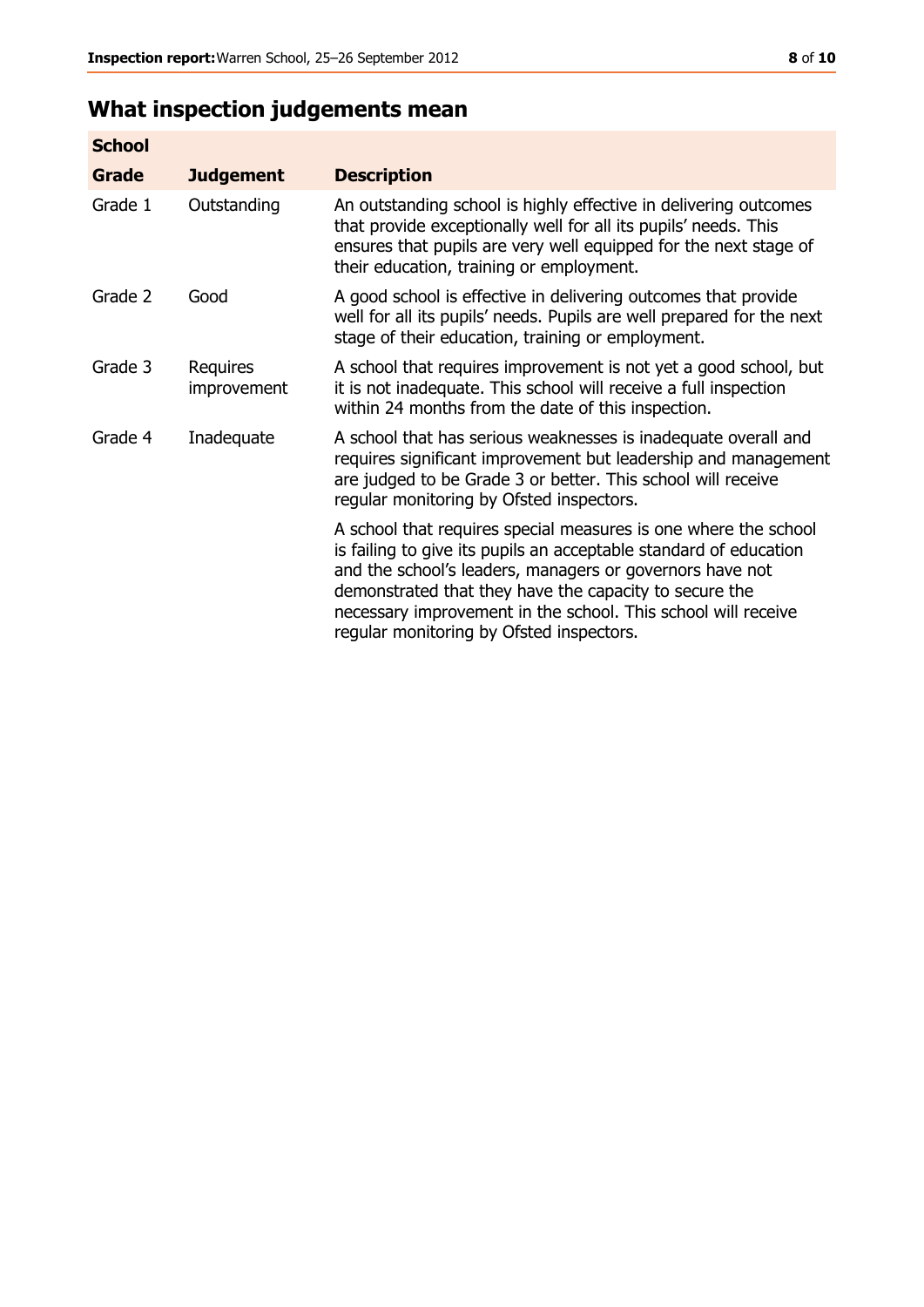# **What inspection judgements mean**

| <b>School</b> |                         |                                                                                                                                                                                                                                                                                                                                                                         |
|---------------|-------------------------|-------------------------------------------------------------------------------------------------------------------------------------------------------------------------------------------------------------------------------------------------------------------------------------------------------------------------------------------------------------------------|
| Grade         | <b>Judgement</b>        | <b>Description</b>                                                                                                                                                                                                                                                                                                                                                      |
| Grade 1       | Outstanding             | An outstanding school is highly effective in delivering outcomes<br>that provide exceptionally well for all its pupils' needs. This<br>ensures that pupils are very well equipped for the next stage of<br>their education, training or employment.                                                                                                                     |
| Grade 2       | Good                    | A good school is effective in delivering outcomes that provide<br>well for all its pupils' needs. Pupils are well prepared for the next<br>stage of their education, training or employment.                                                                                                                                                                            |
| Grade 3       | Requires<br>improvement | A school that requires improvement is not yet a good school, but<br>it is not inadequate. This school will receive a full inspection<br>within 24 months from the date of this inspection.                                                                                                                                                                              |
| Grade 4       | Inadequate              | A school that has serious weaknesses is inadequate overall and<br>requires significant improvement but leadership and management<br>are judged to be Grade 3 or better. This school will receive<br>regular monitoring by Ofsted inspectors.                                                                                                                            |
|               |                         | A school that requires special measures is one where the school<br>is failing to give its pupils an acceptable standard of education<br>and the school's leaders, managers or governors have not<br>demonstrated that they have the capacity to secure the<br>necessary improvement in the school. This school will receive<br>regular monitoring by Ofsted inspectors. |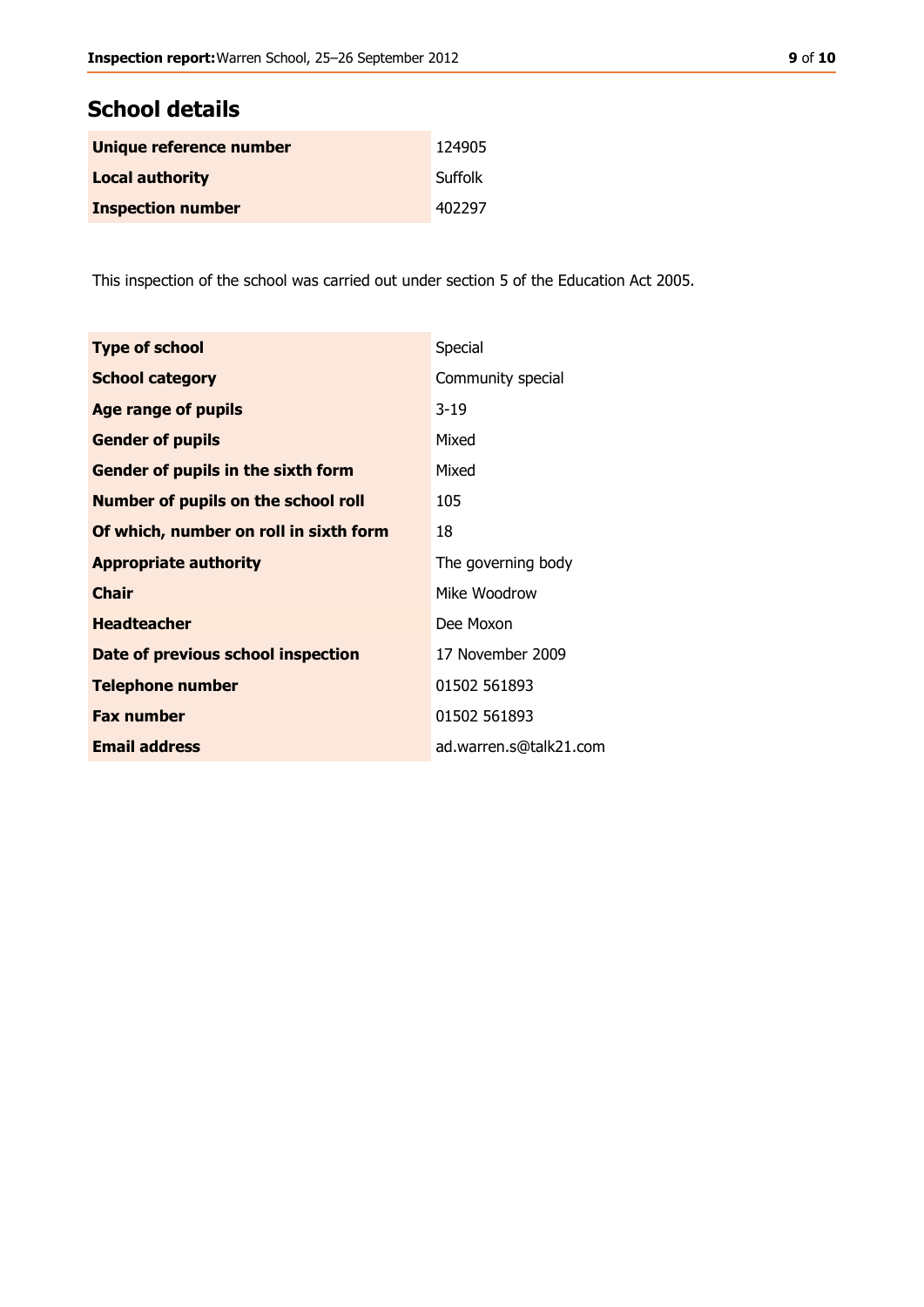# **School details**

| Unique reference number  | 124905  |
|--------------------------|---------|
| <b>Local authority</b>   | Suffolk |
| <b>Inspection number</b> | 402297  |

This inspection of the school was carried out under section 5 of the Education Act 2005.

| <b>Type of school</b>                      | Special                |
|--------------------------------------------|------------------------|
| <b>School category</b>                     | Community special      |
| Age range of pupils                        | $3 - 19$               |
| <b>Gender of pupils</b>                    | Mixed                  |
| Gender of pupils in the sixth form         | Mixed                  |
| <b>Number of pupils on the school roll</b> | 105                    |
| Of which, number on roll in sixth form     | 18                     |
| <b>Appropriate authority</b>               | The governing body     |
| <b>Chair</b>                               | Mike Woodrow           |
| <b>Headteacher</b>                         | Dee Moxon              |
| Date of previous school inspection         | 17 November 2009       |
| <b>Telephone number</b>                    | 01502 561893           |
| <b>Fax number</b>                          | 01502 561893           |
| <b>Email address</b>                       | ad.warren.s@talk21.com |